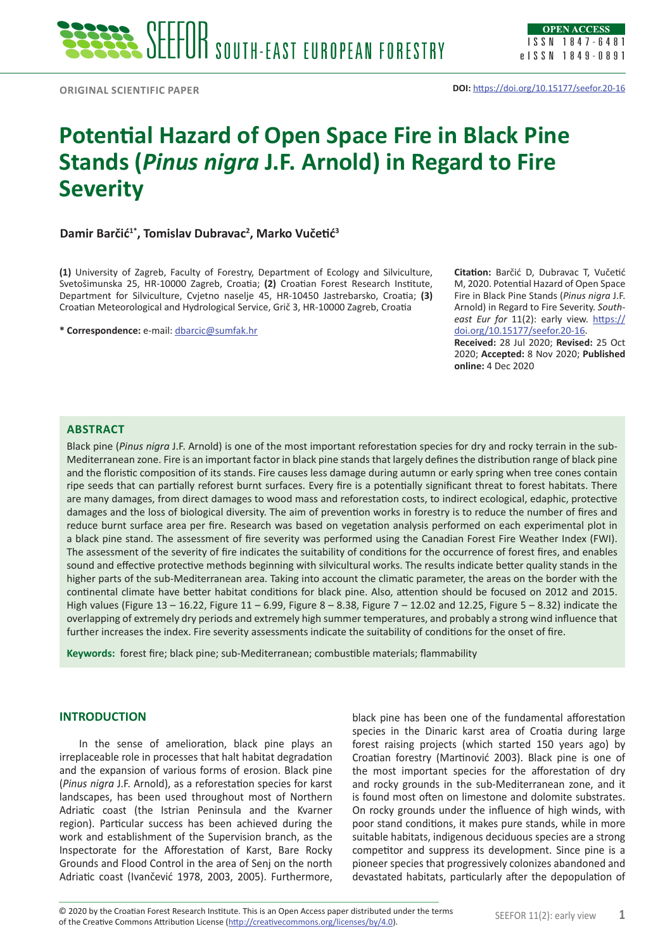# **Potential Hazard of Open Space Fire in Black Pine Stands (***Pinus nigra* **J.F. Arnold) in Regard to Fire Severity**

# **Damir Barčić1\*, Tomislav Dubravac2 , Marko Vučetić<sup>3</sup>**

**(1)** University of Zagreb, Faculty of Forestry, Department of Ecology and Silviculture, Svetošimunska 25, HR-10000 Zagreb, Croatia; **(2)** Croatian Forest Research Institute, Department for Silviculture, Cvjetno naselje 45, HR-10450 Jastrebarsko, Croatia; **(3)**  Croatian Meteorological and Hydrological Service, Grič 3, HR-10000 Zagreb, Croatia

**\* Correspondence:** e-mail: [dbarcic@sumfak.hr](mailto:dbarcic@sumfak.hr)

**Citation:** Barčić D, Dubravac T, Vučetić M, 2020. Potential Hazard of Open Space Fire in Black Pine Stands (*Pinus nigra* J.F. Arnold) in Regard to Fire Severity. *South*east Eur for 11(2): early view. [https://](https://doi.org/10.15177/seefor.20-16) [doi.org/10.15177/seefor.20-16.](https://doi.org/10.15177/seefor.20-16)

**Received:** 28 Jul 2020; **Revised:** 25 Oct 2020; **Accepted:** 8 Nov 2020; **Published online:** 4 Dec 2020

## **Abstract**

Black pine (*Pinus nigra* J.F. Arnold) is one of the most important reforestation species for dry and rocky terrain in the sub-Mediterranean zone. Fire is an important factor in black pine stands that largely defines the distribution range of black pine and the floristic composition of its stands. Fire causes less damage during autumn or early spring when tree cones contain ripe seeds that can partially reforest burnt surfaces. Every fire is a potentially significant threat to forest habitats. There are many damages, from direct damages to wood mass and reforestation costs, to indirect ecological, edaphic, protective damages and the loss of biological diversity. The aim of prevention works in forestry is to reduce the number of fires and reduce burnt surface area per fire. Research was based on vegetation analysis performed on each experimental plot in a black pine stand. The assessment of fire severity was performed using the Canadian Forest Fire Weather Index (FWI). The assessment of the severity of fire indicates the suitability of conditions for the occurrence of forest fires, and enables sound and effective protective methods beginning with silvicultural works. The results indicate better quality stands in the higher parts of the sub-Mediterranean area. Taking into account the climatic parameter, the areas on the border with the continental climate have better habitat conditions for black pine. Also, attention should be focused on 2012 and 2015. High values (Figure 13 – 16.22, Figure 11 – 6.99, Figure 8 – 8.38, Figure 7 – 12.02 and 12.25, Figure 5 – 8.32) indicate the overlapping of extremely dry periods and extremely high summer temperatures, and probably a strong wind influence that further increases the index. Fire severity assessments indicate the suitability of conditions for the onset of fire.

**Keywords:** forest fire; black pine; sub-Mediterranean; combustible materials; flammability

#### **INTRODUCTION**

In the sense of amelioration, black pine plays an irreplaceable role in processes that halt habitat degradation and the expansion of various forms of erosion. Black pine (*Pinus nigra* J.F. Arnold), as a reforestation species for karst landscapes, has been used throughout most of Northern Adriatic coast (the Istrian Peninsula and the Kvarner region). Particular success has been achieved during the work and establishment of the Supervision branch, as the Inspectorate for the Afforestation of Karst, Bare Rocky Grounds and Flood Control in the area of Senj on the north Adriatic coast (Ivančević 1978, 2003, 2005). Furthermore, black pine has been one of the fundamental afforestation species in the Dinaric karst area of Croatia during large forest raising projects (which started 150 years ago) by Croatian forestry (Martinović 2003). Black pine is one of the most important species for the afforestation of dry and rocky grounds in the sub-Mediterranean zone, and it is found most often on limestone and dolomite substrates. On rocky grounds under the influence of high winds, with poor stand conditions, it makes pure stands, while in more suitable habitats, indigenous deciduous species are a strong competitor and suppress its development. Since pine is a pioneer species that progressively colonizes abandoned and devastated habitats, particularly after the depopulation of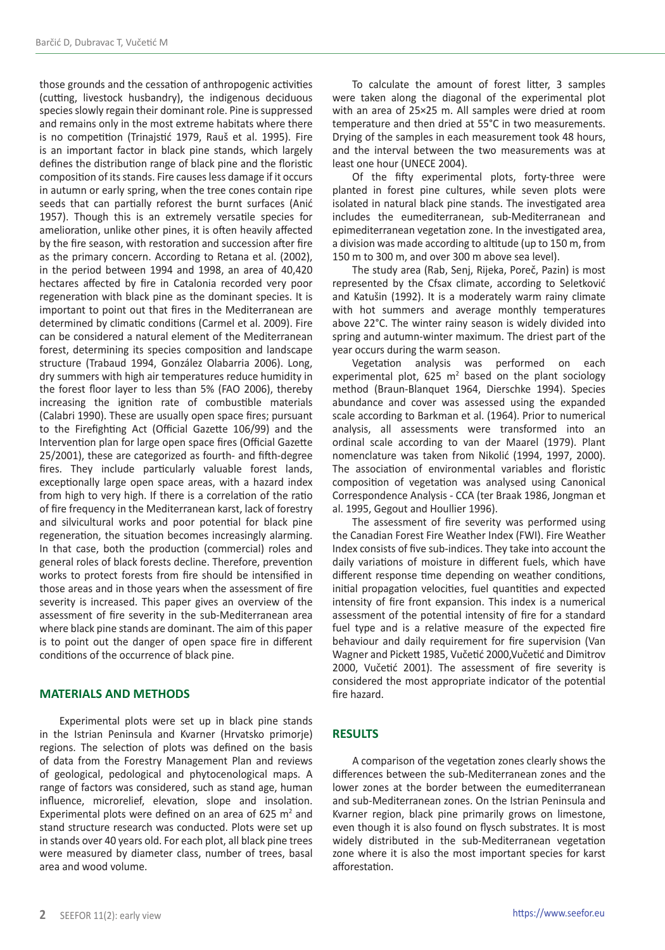those grounds and the cessation of anthropogenic activities (cutting, livestock husbandry), the indigenous deciduous species slowly regain their dominant role. Pine is suppressed and remains only in the most extreme habitats where there is no competition (Trinajstić 1979, Rauš et al. 1995). Fire is an important factor in black pine stands, which largely defines the distribution range of black pine and the floristic composition of its stands. Fire causes less damage if it occurs in autumn or early spring, when the tree cones contain ripe seeds that can partially reforest the burnt surfaces (Anić 1957). Though this is an extremely versatile species for amelioration, unlike other pines, it is often heavily affected by the fire season, with restoration and succession after fire as the primary concern. According to Retana et al. (2002), in the period between 1994 and 1998, an area of 40,420 hectares affected by fire in Catalonia recorded very poor regeneration with black pine as the dominant species. It is important to point out that fires in the Mediterranean are determined by climatic conditions (Carmel et al. 2009). Fire can be considered a natural element of the Mediterranean forest, determining its species composition and landscape structure (Trabaud 1994, González Olabarria 2006). Long, dry summers with high air temperatures reduce humidity in the forest floor layer to less than 5% (FAO 2006), thereby increasing the ignition rate of combustible materials (Calabri 1990). These are usually open space fires; pursuant to the Firefighting Act (Official Gazette 106/99) and the Intervention plan for large open space fires (Official Gazette 25/2001), these are categorized as fourth- and fifth-degree fires. They include particularly valuable forest lands, exceptionally large open space areas, with a hazard index from high to very high. If there is a correlation of the ratio of fire frequency in the Mediterranean karst, lack of forestry and silvicultural works and poor potential for black pine regeneration, the situation becomes increasingly alarming. In that case, both the production (commercial) roles and general roles of black forests decline. Therefore, prevention works to protect forests from fire should be intensified in those areas and in those years when the assessment of fire severity is increased. This paper gives an overview of the assessment of fire severity in the sub-Mediterranean area where black pine stands are dominant. The aim of this paper is to point out the danger of open space fire in different conditions of the occurrence of black pine.

#### **MATERIALS AND METHODS**

Experimental plots were set up in black pine stands in the Istrian Peninsula and Kvarner (Hrvatsko primorje) regions. The selection of plots was defined on the basis of data from the Forestry Management Plan and reviews of geological, pedological and phytocenological maps. A range of factors was considered, such as stand age, human influence, microrelief, elevation, slope and insolation. Experimental plots were defined on an area of 625  $m<sup>2</sup>$  and stand structure research was conducted. Plots were set up in stands over 40 years old. For each plot, all black pine trees were measured by diameter class, number of trees, basal area and wood volume.

To calculate the amount of forest litter, 3 samples were taken along the diagonal of the experimental plot with an area of 25×25 m. All samples were dried at room temperature and then dried at 55°C in two measurements. Drying of the samples in each measurement took 48 hours, and the interval between the two measurements was at least one hour (UNECE 2004).

Of the fifty experimental plots, forty-three were planted in forest pine cultures, while seven plots were isolated in natural black pine stands. The investigated area includes the eumediterranean, sub-Mediterranean and epimediterranean vegetation zone. In the investigated area, a division was made according to altitude (up to 150 m, from 150 m to 300 m, and over 300 m above sea level).

The study area (Rab, Senj, Rijeka, Poreč, Pazin) is most represented by the Cfsax climate, according to Seletković and Katušin (1992). It is a moderately warm rainy climate with hot summers and average monthly temperatures above 22°C. The winter rainy season is widely divided into spring and autumn-winter maximum. The driest part of the year occurs during the warm season.

Vegetation analysis was performed on each experimental plot, 625  $m^2$  based on the plant sociology method (Braun-Blanquet 1964, Dierschke 1994). Species abundance and cover was assessed using the expanded scale according to Barkman et al. (1964). Prior to numerical analysis, all assessments were transformed into an ordinal scale according to van der Maarel (1979). Plant nomenclature was taken from Nikolić (1994, 1997, 2000). The association of environmental variables and floristic composition of vegetation was analysed using Canonical Correspondence Analysis - CCA (ter Braak 1986, Jongman et al. 1995, Gegout and Houllier 1996).

The assessment of fire severity was performed using the Canadian Forest Fire Weather Index (FWI). Fire Weather Index consists of five sub-indices. They take into account the daily variations of moisture in different fuels, which have different response time depending on weather conditions, initial propagation velocities, fuel quantities and expected intensity of fire front expansion. This index is a numerical assessment of the potential intensity of fire for a standard fuel type and is a relative measure of the expected fire behaviour and daily requirement for fire supervision (Van Wagner and Pickett 1985, Vučetić 2000,Vučetić and Dimitrov 2000, Vučetić 2001). The assessment of fire severity is considered the most appropriate indicator of the potential fire hazard.

#### **RESULTS**

A comparison of the vegetation zones clearly shows the differences between the sub-Mediterranean zones and the lower zones at the border between the eumediterranean and sub-Mediterranean zones. On the Istrian Peninsula and Kvarner region, black pine primarily grows on limestone, even though it is also found on flysch substrates. It is most widely distributed in the sub-Mediterranean vegetation zone where it is also the most important species for karst afforestation.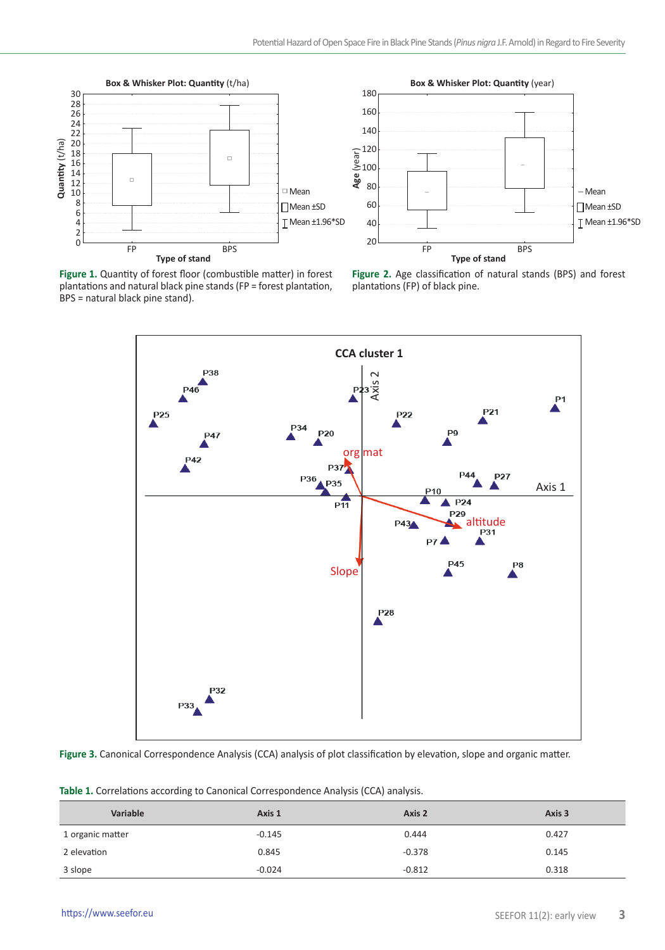



**Figure 1.** Quantity of forest floor (combustible matter) in forest plantations and natural black pine stands (FP = forest plantation, BPS = natural black pine stand).

**Figure 2.** Age classification of natural stands (BPS) and forest plantations (FP) of black pine.



**Figure 3.** Canonical Correspondence Analysis (CCA) analysis of plot classification by elevation, slope and organic matter.

|  |  |  |  |  |  | Table 1. Correlations according to Canonical Correspondence Analysis (CCA) analysis. |  |  |  |  |
|--|--|--|--|--|--|--------------------------------------------------------------------------------------|--|--|--|--|
|--|--|--|--|--|--|--------------------------------------------------------------------------------------|--|--|--|--|

| Variable         | Axis 1   | Axis 2   | Axis 3 |
|------------------|----------|----------|--------|
| 1 organic matter | $-0.145$ | 0.444    | 0.427  |
| 2 elevation      | 0.845    | $-0.378$ | 0.145  |
| 3 slope          | $-0.024$ | $-0.812$ | 0.318  |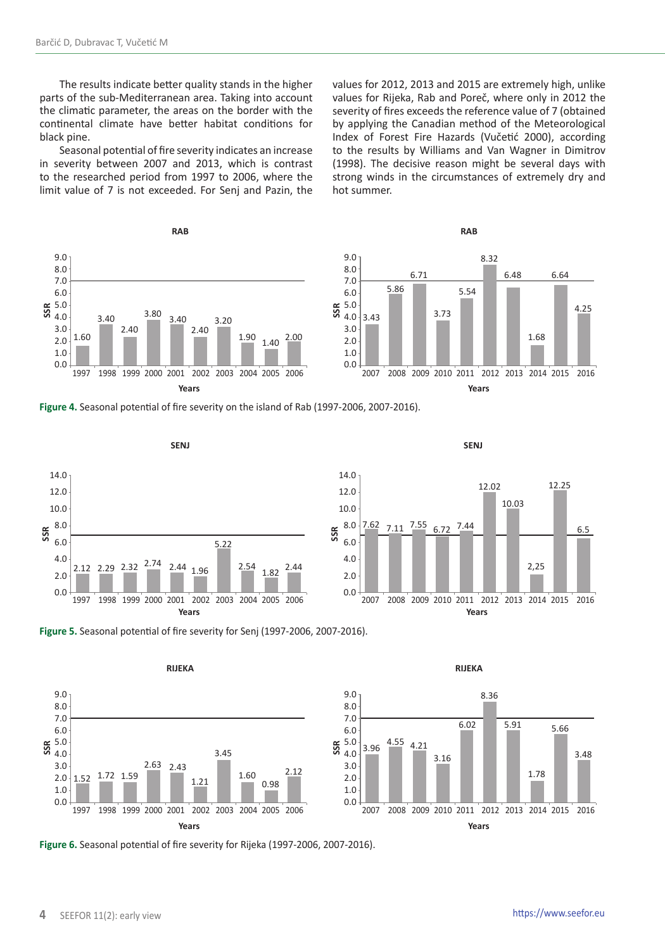The results indicate better quality stands in the higher parts of the sub-Mediterranean area. Taking into account the climatic parameter, the areas on the border with the continental climate have better habitat conditions for black pine.

Seasonal potential of fire severity indicates an increase in severity between 2007 and 2013, which is contrast to the researched period from 1997 to 2006, where the limit value of 7 is not exceeded. For Senj and Pazin, the

**RAB** 9.0 8.0 7.0 6.0 5.0 4.0 3.0 2.0 1.0  $0.0$ 1.60 3.40 2.40  $\frac{3.80}{9}$  3.40 2.40 3.20  $1.90$   $1.40$   $2.00$ 1997 1998 1999 2000 2001 2002 2003 2004 2005 2006 **SSR**

values for 2012, 2013 and 2015 are extremely high, unlike values for Rijeka, Rab and Poreč, where only in 2012 the severity of fires exceeds the reference value of 7 (obtained by applying the Canadian method of the Meteorological Index of Forest Fire Hazards (Vučetić 2000), according to the results by Williams and Van Wagner in Dimitrov (1998). The decisive reason might be several days with strong winds in the circumstances of extremely dry and hot summer.



**Figure 4.** Seasonal potential of fire severity on the island of Rab (1997-2006, 2007-2016).









**Figure 6.** Seasonal potential of fire severity for Rijeka (1997-2006, 2007-2016).

1.78

5.66

3.48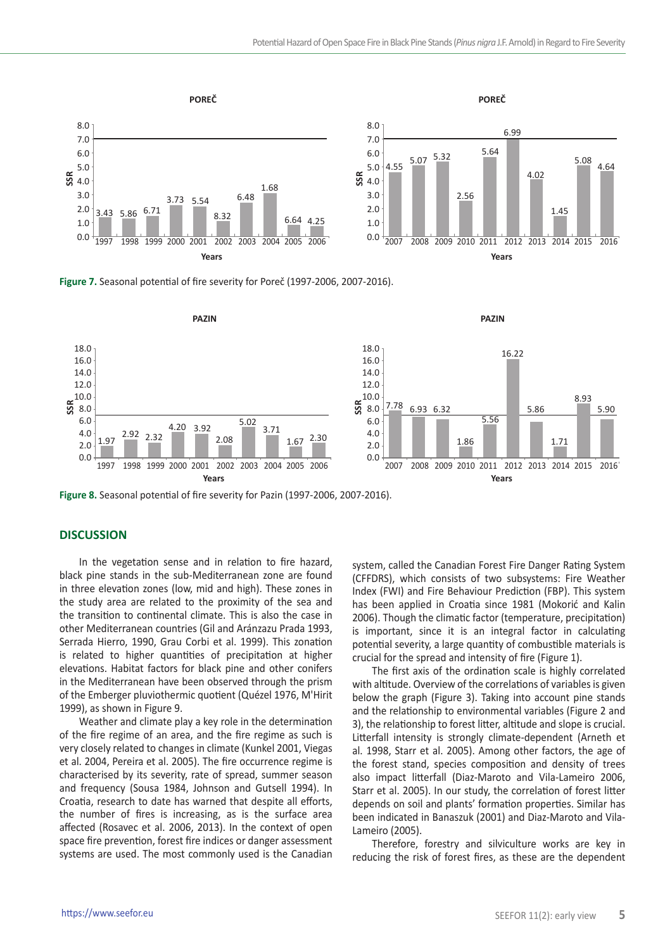

**Figure 7.** Seasonal potential of fire severity for Poreč (1997-2006, 2007-2016).



**Figure 8.** Seasonal potential of fire severity for Pazin (1997-2006, 2007-2016).

### **DISCUSSION**

In the vegetation sense and in relation to fire hazard, black pine stands in the sub-Mediterranean zone are found in three elevation zones (low, mid and high). These zones in the study area are related to the proximity of the sea and the transition to continental climate. This is also the case in other Mediterranean countries (Gil and Aránzazu Prada 1993, Serrada Hierro, 1990, Grau Corbi et al. 1999). This zonation is related to higher quantities of precipitation at higher elevations. Habitat factors for black pine and other conifers in the Mediterranean have been observed through the prism of the Emberger pluviothermic quotient (Quézel 1976, M'Hirit 1999), as shown in Figure 9.

Weather and climate play a key role in the determination of the fire regime of an area, and the fire regime as such is very closely related to changes in climate (Kunkel 2001, Viegas et al. 2004, Pereira et al. 2005). The fire occurrence regime is characterised by its severity, rate of spread, summer season and frequency (Sousa 1984, Johnson and Gutsell 1994). In Croatia, research to date has warned that despite all efforts, the number of fires is increasing, as is the surface area affected (Rosavec et al. 2006, 2013). In the context of open space fire prevention, forest fire indices or danger assessment systems are used. The most commonly used is the Canadian

system, called the Canadian Forest Fire Danger Rating System (CFFDRS), which consists of two subsystems: Fire Weather Index (FWI) and Fire Behaviour Prediction (FBP). This system has been applied in Croatia since 1981 (Mokorić and Kalin 2006). Though the climatic factor (temperature, precipitation) is important, since it is an integral factor in calculating potential severity, a large quantity of combustible materials is crucial for the spread and intensity of fire (Figure 1).

The first axis of the ordination scale is highly correlated with altitude. Overview of the correlations of variables is given below the graph (Figure 3). Taking into account pine stands and the relationship to environmental variables (Figure 2 and 3), the relationship to forest litter, altitude and slope is crucial. Litterfall intensity is strongly climate-dependent (Arneth et al. 1998, Starr et al. 2005). Among other factors, the age of the forest stand, species composition and density of trees also impact litterfall (Diaz-Maroto and Vila-Lameiro 2006, Starr et al. 2005). In our study, the correlation of forest litter depends on soil and plants' formation properties. Similar has been indicated in Banaszuk (2001) and Diaz-Maroto and Vila-Lameiro (2005).

Therefore, forestry and silviculture works are key in reducing the risk of forest fires, as these are the dependent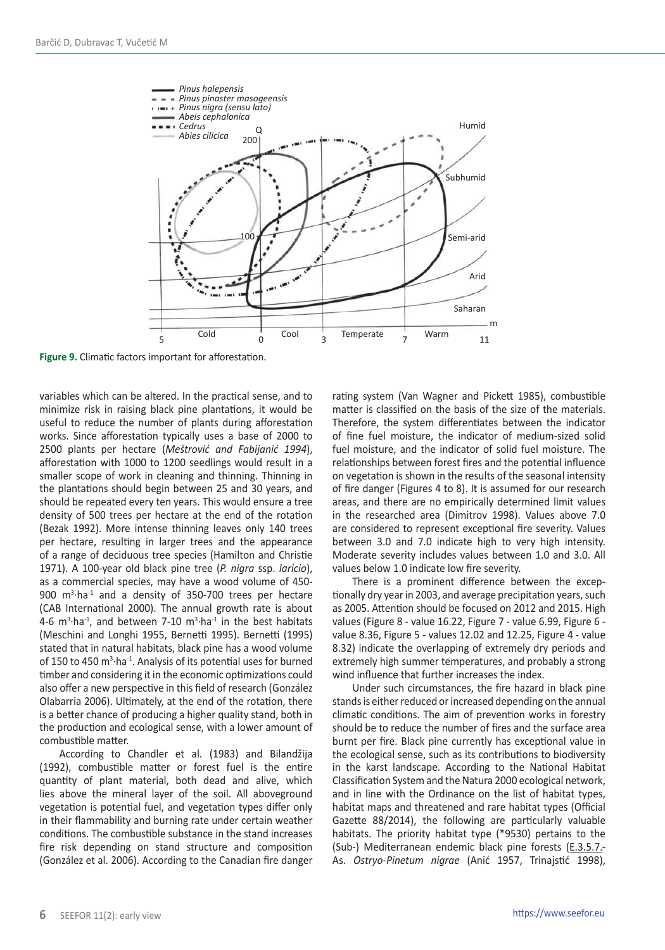

**Figure 9.** Climatic factors important for afforestation.

variables which can be altered. In the practical sense, and to minimize risk in raising black pine plantations, it would be useful to reduce the number of plants during afforestation works. Since afforestation typically uses a base of 2000 to 2500 plants per hectare (*Meštrović and Fabijanić 1994*), afforestation with 1000 to 1200 seedlings would result in a smaller scope of work in cleaning and thinning. Thinning in the plantations should begin between 25 and 30 years, and should be repeated every ten years. This would ensure a tree density of 500 trees per hectare at the end of the rotation (Bezak 1992). More intense thinning leaves only 140 trees per hectare, resulting in larger trees and the appearance of a range of deciduous tree species (Hamilton and Christie 1971). A 100-year old black pine tree (*P. nigra* ssp. *laricio*), as a commercial species, may have a wood volume of 450- 900 m<sup>3</sup>·ha<sup>-1</sup> and a density of 350-700 trees per hectare (CAB International 2000). The annual growth rate is about 4-6  $m<sup>3</sup>$  ha<sup>-1</sup>, and between 7-10  $m<sup>3</sup>$  ha<sup>-1</sup> in the best habitats (Meschini and Longhi 1955, Bernetti 1995). Bernetti (1995) stated that in natural habitats, black pine has a wood volume of 150 to 450 m<sup>3</sup>·ha<sup>-1</sup>. Analysis of its potential uses for burned timber and considering it in the economic optimizations could also offer a new perspective in this field of research (González Olabarria 2006). Ultimately, at the end of the rotation, there is a better chance of producing a higher quality stand, both in the production and ecological sense, with a lower amount of combustible matter.

According to Chandler et al. (1983) and Bilandžija (1992), combustible matter or forest fuel is the entire quantity of plant material, both dead and alive, which lies above the mineral layer of the soil. All aboveground vegetation is potential fuel, and vegetation types differ only in their flammability and burning rate under certain weather conditions. The combustible substance in the stand increases fire risk depending on stand structure and composition (González et al. 2006). According to the Canadian fire danger rating system (Van Wagner and Pickett 1985), combustible matter is classified on the basis of the size of the materials. Therefore, the system differentiates between the indicator of fine fuel moisture, the indicator of medium-sized solid fuel moisture, and the indicator of solid fuel moisture. The relationships between forest fires and the potential influence on vegetation is shown in the results of the seasonal intensity of fire danger (Figures 4 to 8). It is assumed for our research areas, and there are no empirically determined limit values in the researched area (Dimitrov 1998). Values above 7.0 are considered to represent exceptional fire severity. Values between 3.0 and 7.0 indicate high to very high intensity. Moderate severity includes values between 1.0 and 3.0. All values below 1.0 indicate low fire severity.

There is a prominent difference between the exceptionally dry year in 2003, and average precipitation years, such as 2005. Attention should be focused on 2012 and 2015. High values (Figure 8 - value 16.22, Figure 7 - value 6.99, Figure 6 value 8.36, Figure 5 - values 12.02 and 12.25, Figure 4 - value 8.32) indicate the overlapping of extremely dry periods and extremely high summer temperatures, and probably a strong wind influence that further increases the index.

Under such circumstances, the fire hazard in black pine stands is either reduced or increased depending on the annual climatic conditions. The aim of prevention works in forestry should be to reduce the number of fires and the surface area burnt per fire. Black pine currently has exceptional value in the ecological sense, such as its contributions to biodiversity in the karst landscape. According to the National Habitat Classification System and the Natura 2000 ecological network, and in line with the Ordinance on the list of habitat types, habitat maps and threatened and rare habitat types (Official Gazette 88/2014), the following are particularly valuable habitats. The priority habitat type (\*9530) pertains to the (Sub-) Mediterranean endemic black pine forests (E.3.5.7.- As. *Ostryo-Pinetum nigrae* (Anić 1957, Trinajstić 1998),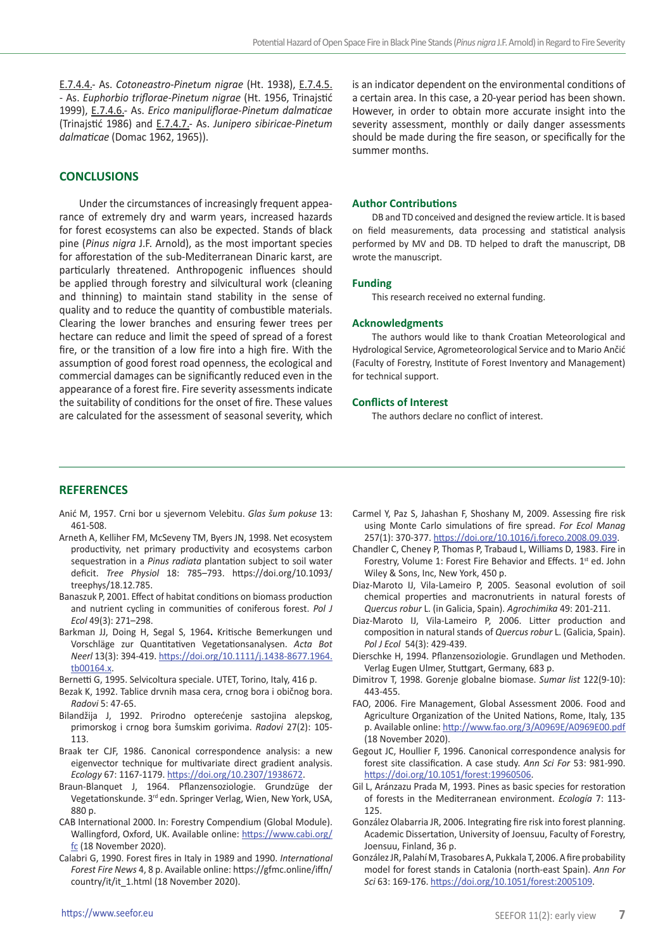E.7.4.4.- As. *Cotoneastro-Pinetum nigrae* (Ht. 1938), E.7.4.5. - As. *Euphorbio triflorae-Pinetum nigrae* (Ht. 1956, Trinajstić 1999), E.7.4.6.- As. *Erico manipuliflorae-Pinetum dalmaticae* (Trinajstić 1986) and E.7.4.7.- As. *Junipero sibiricae-Pinetum dalmaticae* (Domac 1962, 1965)).

## **CONCLUSIONS**

Under the circumstances of increasingly frequent appearance of extremely dry and warm years, increased hazards for forest ecosystems can also be expected. Stands of black pine (*Pinus nigra* J.F. Arnold), as the most important species for afforestation of the sub-Mediterranean Dinaric karst, are particularly threatened. Anthropogenic influences should be applied through forestry and silvicultural work (cleaning and thinning) to maintain stand stability in the sense of quality and to reduce the quantity of combustible materials. Clearing the lower branches and ensuring fewer trees per hectare can reduce and limit the speed of spread of a forest fire, or the transition of a low fire into a high fire. With the assumption of good forest road openness, the ecological and commercial damages can be significantly reduced even in the appearance of a forest fire. Fire severity assessments indicate the suitability of conditions for the onset of fire. These values are calculated for the assessment of seasonal severity, which

is an indicator dependent on the environmental conditions of a certain area. In this case, a 20-year period has been shown. However, in order to obtain more accurate insight into the severity assessment, monthly or daily danger assessments should be made during the fire season, or specifically for the summer months.

#### **Author Contributions**

DB and TD conceived and designed the review article. It is based on field measurements, data processing and statistical analysis performed by MV and DB. TD helped to draft the manuscript, DB wrote the manuscript.

#### **Funding**

This research received no external funding.

#### **Acknowledgments**

The authors would like to thank Croatian Meteorological and Hydrological Service, Agrometeorological Service and to Mario Ančić (Faculty of Forestry, Institute of Forest Inventory and Management) for technical support.

#### **Conflicts of Interest**

The authors declare no conflict of interest.

### **REFERENCES**

- Anić M, 1957. Crni bor u sjevernom Velebitu. *Glas šum pokuse* 13: 461-508.
- Arneth A, Kelliher FM, McSeveny TM, Byers JN, 1998. Net ecosystem productivity, net primary productivity and ecosystems carbon sequestration in a *Pinus radiata* plantation subject to soil water deficit. *Tree Physiol* 18: 785–793. https://doi.org/10.1093/ treephys/18.12.785.
- Banaszuk P, 2001. Effect of habitat conditions on biomass production and nutrient cycling in communities of coniferous forest. *Pol J Ecol* 49(3): 271–298.
- Barkman JJ, Doing H, Segal S, 1964**.** Kritische Bemerkungen und Vorschläge zur Quantitativen Vegetationsanalysen. *Acta Bot Neerl* 13(3): 394-419. [https://doi.org/10.1111/j.1438-8677.1964.](https://doi.org/10.1111/j.1438-8677.1964.tb00164.x) [tb00164.x.](https://doi.org/10.1111/j.1438-8677.1964.tb00164.x)
- Bernetti G, 1995. Selvicoltura speciale. UTET, Torino, Italy, 416 p.
- Bezak K, 1992. Tablice drvnih masa cera, crnog bora i običnog bora. *Radovi* 5: 47-65.
- Bilandžija J, 1992. Prirodno opterećenje sastojina alepskog, primorskog i crnog bora šumskim gorivima. *Radovi* 27(2): 105- 113.
- Braak ter CJF, 1986. Canonical correspondence analysis: a new eigenvector technique for multivariate direct gradient analysis. *Ecology* 67: 1167-1179. [https://doi.org/10.2307/1938672.](https://doi.org/10.2307/1938672)
- Braun-Blanquet J, 1964. Pflanzensoziologie. Grundzüge der Vegetationskunde. 3rd edn. Springer Verlag, Wien, New York, USA, 880 p.
- CAB International 2000. In: Forestry Compendium (Global Module). Wallingford, Oxford, UK. Available online: [https://www.cabi.org/](https://www.cabi.org/fc) [fc](https://www.cabi.org/fc) (18 November 2020).
- Calabri G, 1990. Forest fires in Italy in 1989 and 1990. *International Forest Fire News* 4, 8 p. Available online: https://gfmc.online/iffn/ country/it/it\_1.html (18 November 2020).
- Carmel Y, Paz S, Jahashan F, Shoshany M, 2009. Assessing fire risk using Monte Carlo simulations of fire spread. *For Ecol Manag*  257(1): 370-377. [https://doi.org/10.1016/j.foreco.2008.09.039.](https://doi.org/10.1016/j.foreco.2008.09.039)
- Chandler C, Cheney P, Thomas P, Trabaud L, Williams D, 1983. Fire in Forestry, Volume 1: Forest Fire Behavior and Effects. 1st ed. John Wiley & Sons, Inc, New York, 450 p.
- Diaz-Maroto IJ, Vila-Lameiro P, 2005. Seasonal evolution of soil chemical properties and macronutrients in natural forests of *Quercus robur* L. (in Galicia, Spain). *Agrochimika* 49: 201-211.
- Diaz-Maroto IJ, Vila-Lameiro P, 2006. Litter production and composition in natural stands of *Quercus robur* L. (Galicia, Spain). *Pol J Ecol* 54(3): 429-439.
- Dierschke H, 1994. Pflanzensoziologie. Grundlagen und Methoden. Verlag Eugen Ulmer, Stuttgart, Germany, 683 p.
- Dimitrov T, 1998. Gorenje globalne biomase. *Sumar list* 122(9-10): 443-455.
- FAO, 2006. Fire Management, Global Assessment 2006. Food and Agriculture Organization of the United Nations, Rome, Italy, 135 p. Available online:<http://www.fao.org/3/A0969E/A0969E00.pdf> (18 November 2020).
- Gegout JC, Houllier F, 1996. Canonical correspondence analysis for forest site classification. A case study. *Ann Sci For* 53: 981-990. <https://doi.org/10.1051/forest:19960506>.
- Gil L, Aránzazu Prada M, 1993. Pines as basic species for restoration of forests in the Mediterranean environment. *Ecología* 7: 113- 125.
- González Olabarria JR, 2006. Integrating fire risk into forest planning. Academic Dissertation, University of Joensuu, Faculty of Forestry, Joensuu, Finland, 36 p.
- González JR, Palahí M, Trasobares A, Pukkala T, 2006. A fire probability model for forest stands in Catalonia (north-east Spain). *Ann For Sci* 63: 169-176.<https://doi.org/10.1051/forest:2005109>.